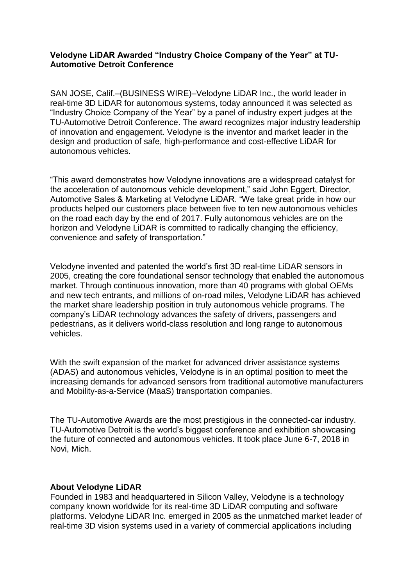## **Velodyne LiDAR Awarded "Industry Choice Company of the Year" at TU-Automotive Detroit Conference**

SAN JOSE, Calif.–(BUSINESS WIRE)–Velodyne LiDAR Inc., the world leader in real-time 3D LiDAR for autonomous systems, today announced it was selected as "Industry Choice Company of the Year" by a panel of industry expert judges at the TU-Automotive Detroit Conference. The award recognizes major industry leadership of innovation and engagement. Velodyne is the inventor and market leader in the design and production of safe, high-performance and cost-effective LiDAR for autonomous vehicles.

"This award demonstrates how Velodyne innovations are a widespread catalyst for the acceleration of autonomous vehicle development," said John Eggert, Director, Automotive Sales & Marketing at Velodyne LiDAR. "We take great pride in how our products helped our customers place between five to ten new autonomous vehicles on the road each day by the end of 2017. Fully autonomous vehicles are on the horizon and Velodyne LiDAR is committed to radically changing the efficiency, convenience and safety of transportation."

Velodyne invented and patented the world's first 3D real-time LiDAR sensors in 2005, creating the core foundational sensor technology that enabled the autonomous market. Through continuous innovation, more than 40 programs with global OEMs and new tech entrants, and millions of on-road miles, Velodyne LiDAR has achieved the market share leadership position in truly autonomous vehicle programs. The company's LiDAR technology advances the safety of drivers, passengers and pedestrians, as it delivers world-class resolution and long range to autonomous vehicles.

With the swift expansion of the market for advanced driver assistance systems (ADAS) and autonomous vehicles, Velodyne is in an optimal position to meet the increasing demands for advanced sensors from traditional automotive manufacturers and Mobility-as-a-Service (MaaS) transportation companies.

The TU-Automotive Awards are the most prestigious in the connected-car industry. TU-Automotive Detroit is the world's biggest conference and exhibition showcasing the future of connected and autonomous vehicles. It took place June 6-7, 2018 in Novi, Mich.

## **About Velodyne LiDAR**

Founded in 1983 and headquartered in Silicon Valley, Velodyne is a technology company known worldwide for its real-time 3D LiDAR computing and software platforms. Velodyne LiDAR Inc. emerged in 2005 as the unmatched market leader of real-time 3D vision systems used in a variety of commercial applications including